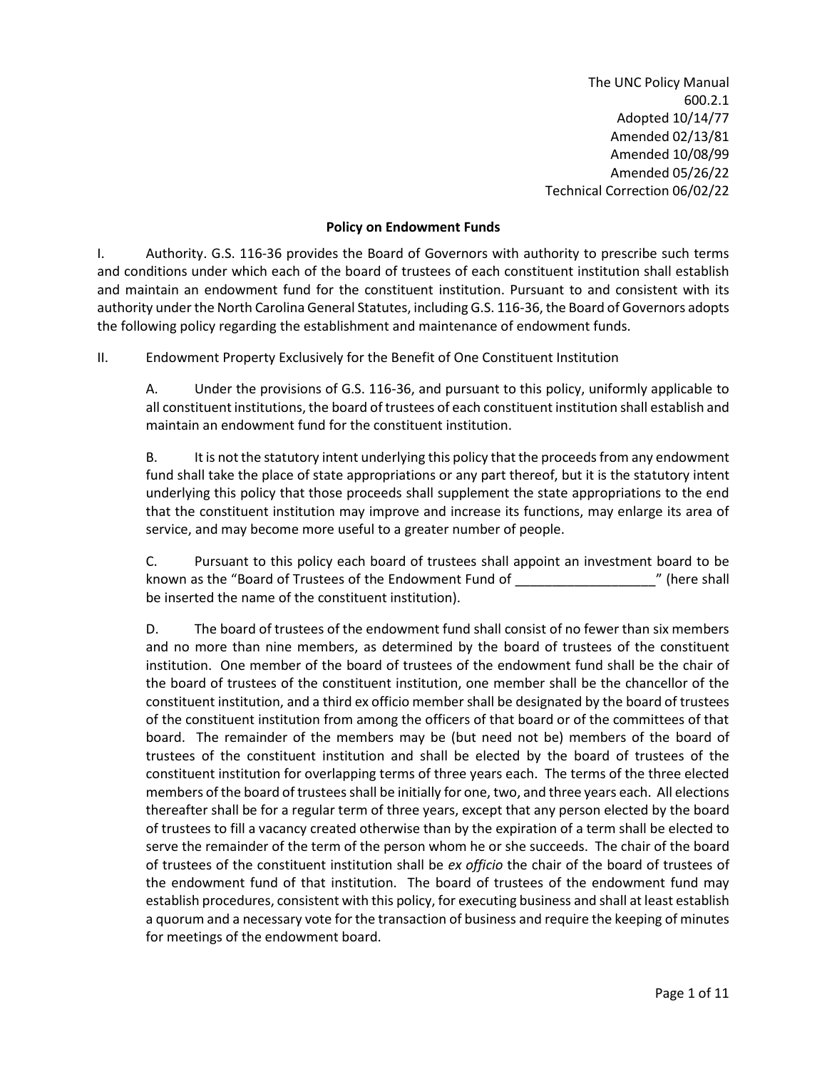The UNC Policy Manual 600.2.1 Adopted 10/14/77 Amended 02/13/81 Amended 10/08/99 Amended 05/26/22 Technical Correction 06/02/22

## **Policy on Endowment Funds**

I. Authority. G.S. 116-36 provides the Board of Governors with authority to prescribe such terms and conditions under which each of the board of trustees of each constituent institution shall establish and maintain an endowment fund for the constituent institution. Pursuant to and consistent with its authority under the North Carolina General Statutes, including G.S. 116-36, the Board of Governors adopts the following policy regarding the establishment and maintenance of endowment funds.

II. Endowment Property Exclusively for the Benefit of One Constituent Institution

A. Under the provisions of G.S. 116-36, and pursuant to this policy, uniformly applicable to all constituent institutions, the board of trustees of each constituent institution shall establish and maintain an endowment fund for the constituent institution.

B. It is not the statutory intent underlying this policy that the proceeds from any endowment fund shall take the place of state appropriations or any part thereof, but it is the statutory intent underlying this policy that those proceeds shall supplement the state appropriations to the end that the constituent institution may improve and increase its functions, may enlarge its area of service, and may become more useful to a greater number of people.

C. Pursuant to this policy each board of trustees shall appoint an investment board to be known as the "Board of Trustees of the Endowment Fund of \_\_\_\_\_\_\_\_\_\_\_\_\_\_\_\_\_\_\_" (here shall be inserted the name of the constituent institution).

D. The board of trustees of the endowment fund shall consist of no fewer than six members and no more than nine members, as determined by the board of trustees of the constituent institution. One member of the board of trustees of the endowment fund shall be the chair of the board of trustees of the constituent institution, one member shall be the chancellor of the constituent institution, and a third ex officio member shall be designated by the board of trustees of the constituent institution from among the officers of that board or of the committees of that board. The remainder of the members may be (but need not be) members of the board of trustees of the constituent institution and shall be elected by the board of trustees of the constituent institution for overlapping terms of three years each. The terms of the three elected members of the board of trustees shall be initially for one, two, and three years each. All elections thereafter shall be for a regular term of three years, except that any person elected by the board of trustees to fill a vacancy created otherwise than by the expiration of a term shall be elected to serve the remainder of the term of the person whom he or she succeeds. The chair of the board of trustees of the constituent institution shall be *ex officio* the chair of the board of trustees of the endowment fund of that institution. The board of trustees of the endowment fund may establish procedures, consistent with this policy, for executing business and shall at least establish a quorum and a necessary vote for the transaction of business and require the keeping of minutes for meetings of the endowment board.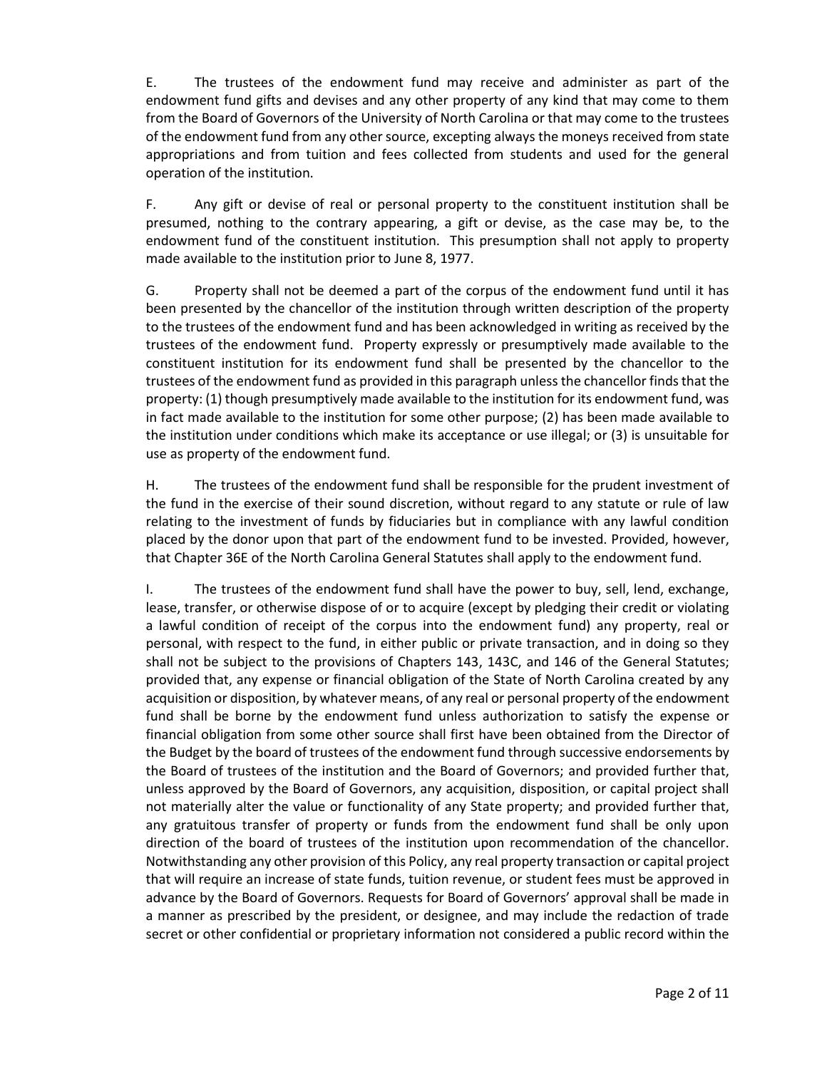E. The trustees of the endowment fund may receive and administer as part of the endowment fund gifts and devises and any other property of any kind that may come to them from the Board of Governors of the University of North Carolina or that may come to the trustees of the endowment fund from any other source, excepting always the moneys received from state appropriations and from tuition and fees collected from students and used for the general operation of the institution.

F. Any gift or devise of real or personal property to the constituent institution shall be presumed, nothing to the contrary appearing, a gift or devise, as the case may be, to the endowment fund of the constituent institution. This presumption shall not apply to property made available to the institution prior to June 8, 1977.

G. Property shall not be deemed a part of the corpus of the endowment fund until it has been presented by the chancellor of the institution through written description of the property to the trustees of the endowment fund and has been acknowledged in writing as received by the trustees of the endowment fund. Property expressly or presumptively made available to the constituent institution for its endowment fund shall be presented by the chancellor to the trustees of the endowment fund as provided in this paragraph unless the chancellor finds that the property: (1) though presumptively made available to the institution for its endowment fund, was in fact made available to the institution for some other purpose; (2) has been made available to the institution under conditions which make its acceptance or use illegal; or (3) is unsuitable for use as property of the endowment fund.

H. The trustees of the endowment fund shall be responsible for the prudent investment of the fund in the exercise of their sound discretion, without regard to any statute or rule of law relating to the investment of funds by fiduciaries but in compliance with any lawful condition placed by the donor upon that part of the endowment fund to be invested. Provided, however, that Chapter 36E of the North Carolina General Statutes shall apply to the endowment fund.

I. The trustees of the endowment fund shall have the power to buy, sell, lend, exchange, lease, transfer, or otherwise dispose of or to acquire (except by pledging their credit or violating a lawful condition of receipt of the corpus into the endowment fund) any property, real or personal, with respect to the fund, in either public or private transaction, and in doing so they shall not be subject to the provisions of Chapters 143, 143C, and 146 of the General Statutes; provided that, any expense or financial obligation of the State of North Carolina created by any acquisition or disposition, by whatever means, of any real or personal property of the endowment fund shall be borne by the endowment fund unless authorization to satisfy the expense or financial obligation from some other source shall first have been obtained from the Director of the Budget by the board of trustees of the endowment fund through successive endorsements by the Board of trustees of the institution and the Board of Governors; and provided further that, unless approved by the Board of Governors, any acquisition, disposition, or capital project shall not materially alter the value or functionality of any State property; and provided further that, any gratuitous transfer of property or funds from the endowment fund shall be only upon direction of the board of trustees of the institution upon recommendation of the chancellor. Notwithstanding any other provision of this Policy, any real property transaction or capital project that will require an increase of state funds, tuition revenue, or student fees must be approved in advance by the Board of Governors. Requests for Board of Governors' approval shall be made in a manner as prescribed by the president, or designee, and may include the redaction of trade secret or other confidential or proprietary information not considered a public record within the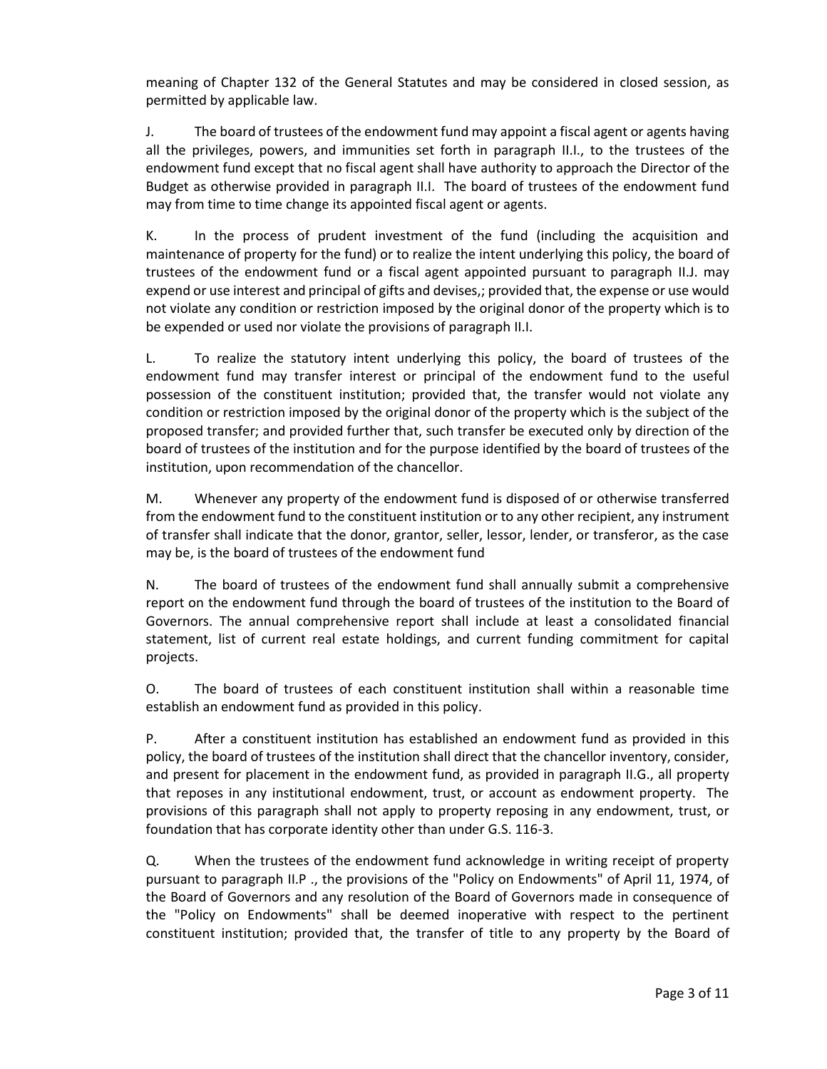meaning of Chapter 132 of the General Statutes and may be considered in closed session, as permitted by applicable law.

J. The board of trustees of the endowment fund may appoint a fiscal agent or agents having all the privileges, powers, and immunities set forth in paragraph II.I., to the trustees of the endowment fund except that no fiscal agent shall have authority to approach the Director of the Budget as otherwise provided in paragraph II.I. The board of trustees of the endowment fund may from time to time change its appointed fiscal agent or agents.

K. In the process of prudent investment of the fund (including the acquisition and maintenance of property for the fund) or to realize the intent underlying this policy, the board of trustees of the endowment fund or a fiscal agent appointed pursuant to paragraph II.J. may expend or use interest and principal of gifts and devises,; provided that, the expense or use would not violate any condition or restriction imposed by the original donor of the property which is to be expended or used nor violate the provisions of paragraph II.I.

L. To realize the statutory intent underlying this policy, the board of trustees of the endowment fund may transfer interest or principal of the endowment fund to the useful possession of the constituent institution; provided that, the transfer would not violate any condition or restriction imposed by the original donor of the property which is the subject of the proposed transfer; and provided further that, such transfer be executed only by direction of the board of trustees of the institution and for the purpose identified by the board of trustees of the institution, upon recommendation of the chancellor.

M. Whenever any property of the endowment fund is disposed of or otherwise transferred from the endowment fund to the constituent institution or to any other recipient, any instrument of transfer shall indicate that the donor, grantor, seller, lessor, lender, or transferor, as the case may be, is the board of trustees of the endowment fund

N. The board of trustees of the endowment fund shall annually submit a comprehensive report on the endowment fund through the board of trustees of the institution to the Board of Governors. The annual comprehensive report shall include at least a consolidated financial statement, list of current real estate holdings, and current funding commitment for capital projects.

O. The board of trustees of each constituent institution shall within a reasonable time establish an endowment fund as provided in this policy.

P. After a constituent institution has established an endowment fund as provided in this policy, the board of trustees of the institution shall direct that the chancellor inventory, consider, and present for placement in the endowment fund, as provided in paragraph II.G., all property that reposes in any institutional endowment, trust, or account as endowment property. The provisions of this paragraph shall not apply to property reposing in any endowment, trust, or foundation that has corporate identity other than under G.S. 116-3.

Q. When the trustees of the endowment fund acknowledge in writing receipt of property pursuant to paragraph II.P ., the provisions of the "Policy on Endowments" of April 11, 1974, of the Board of Governors and any resolution of the Board of Governors made in consequence of the "Policy on Endowments" shall be deemed inoperative with respect to the pertinent constituent institution; provided that, the transfer of title to any property by the Board of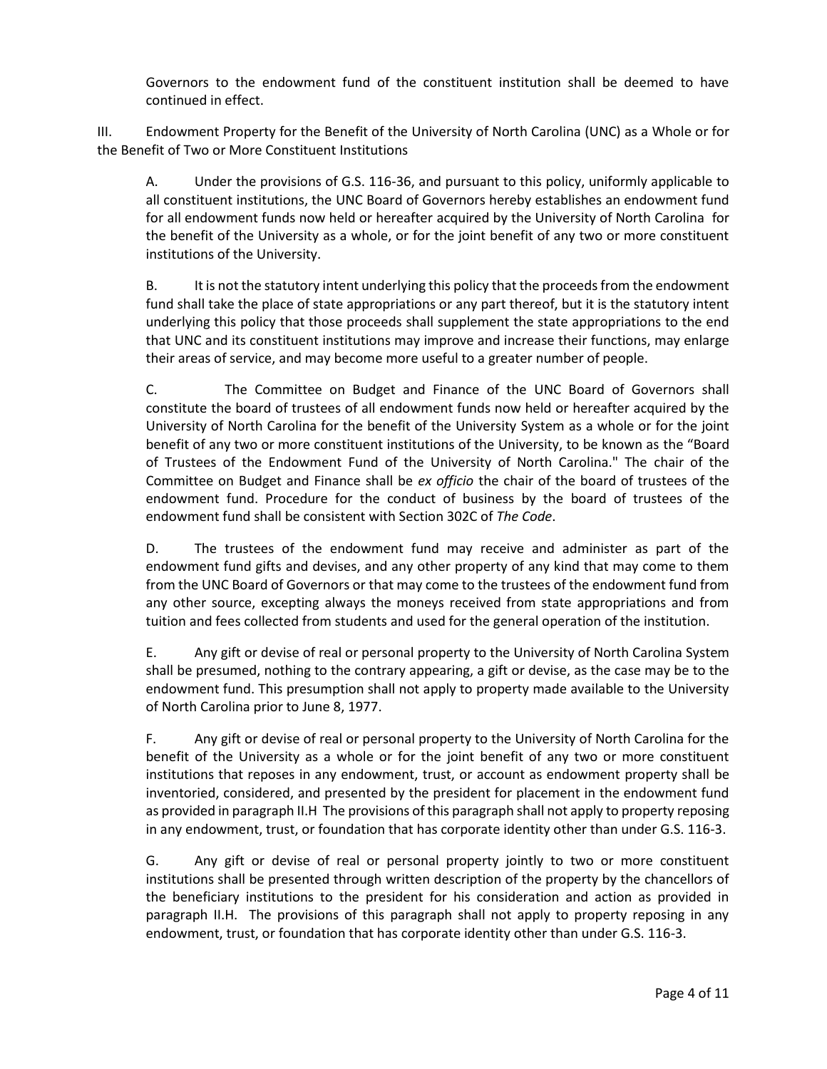Governors to the endowment fund of the constituent institution shall be deemed to have continued in effect.

III. Endowment Property for the Benefit of the University of North Carolina (UNC) as a Whole or for the Benefit of Two or More Constituent Institutions

A. Under the provisions of G.S. 116-36, and pursuant to this policy, uniformly applicable to all constituent institutions, the UNC Board of Governors hereby establishes an endowment fund for all endowment funds now held or hereafter acquired by the University of North Carolina for the benefit of the University as a whole, or for the joint benefit of any two or more constituent institutions of the University.

B. It is not the statutory intent underlying this policy that the proceeds from the endowment fund shall take the place of state appropriations or any part thereof, but it is the statutory intent underlying this policy that those proceeds shall supplement the state appropriations to the end that UNC and its constituent institutions may improve and increase their functions, may enlarge their areas of service, and may become more useful to a greater number of people.

C. The Committee on Budget and Finance of the UNC Board of Governors shall constitute the board of trustees of all endowment funds now held or hereafter acquired by the University of North Carolina for the benefit of the University System as a whole or for the joint benefit of any two or more constituent institutions of the University, to be known as the "Board of Trustees of the Endowment Fund of the University of North Carolina." The chair of the Committee on Budget and Finance shall be *ex officio* the chair of the board of trustees of the endowment fund. Procedure for the conduct of business by the board of trustees of the endowment fund shall be consistent with Section 302C of *The Code*.

D. The trustees of the endowment fund may receive and administer as part of the endowment fund gifts and devises, and any other property of any kind that may come to them from the UNC Board of Governors or that may come to the trustees of the endowment fund from any other source, excepting always the moneys received from state appropriations and from tuition and fees collected from students and used for the general operation of the institution.

E. Any gift or devise of real or personal property to the University of North Carolina System shall be presumed, nothing to the contrary appearing, a gift or devise, as the case may be to the endowment fund. This presumption shall not apply to property made available to the University of North Carolina prior to June 8, 1977.

F. Any gift or devise of real or personal property to the University of North Carolina for the benefit of the University as a whole or for the joint benefit of any two or more constituent institutions that reposes in any endowment, trust, or account as endowment property shall be inventoried, considered, and presented by the president for placement in the endowment fund as provided in paragraph II.H The provisions of this paragraph shall not apply to property reposing in any endowment, trust, or foundation that has corporate identity other than under G.S. 116-3.

G. Any gift or devise of real or personal property jointly to two or more constituent institutions shall be presented through written description of the property by the chancellors of the beneficiary institutions to the president for his consideration and action as provided in paragraph II.H. The provisions of this paragraph shall not apply to property reposing in any endowment, trust, or foundation that has corporate identity other than under G.S. 116-3.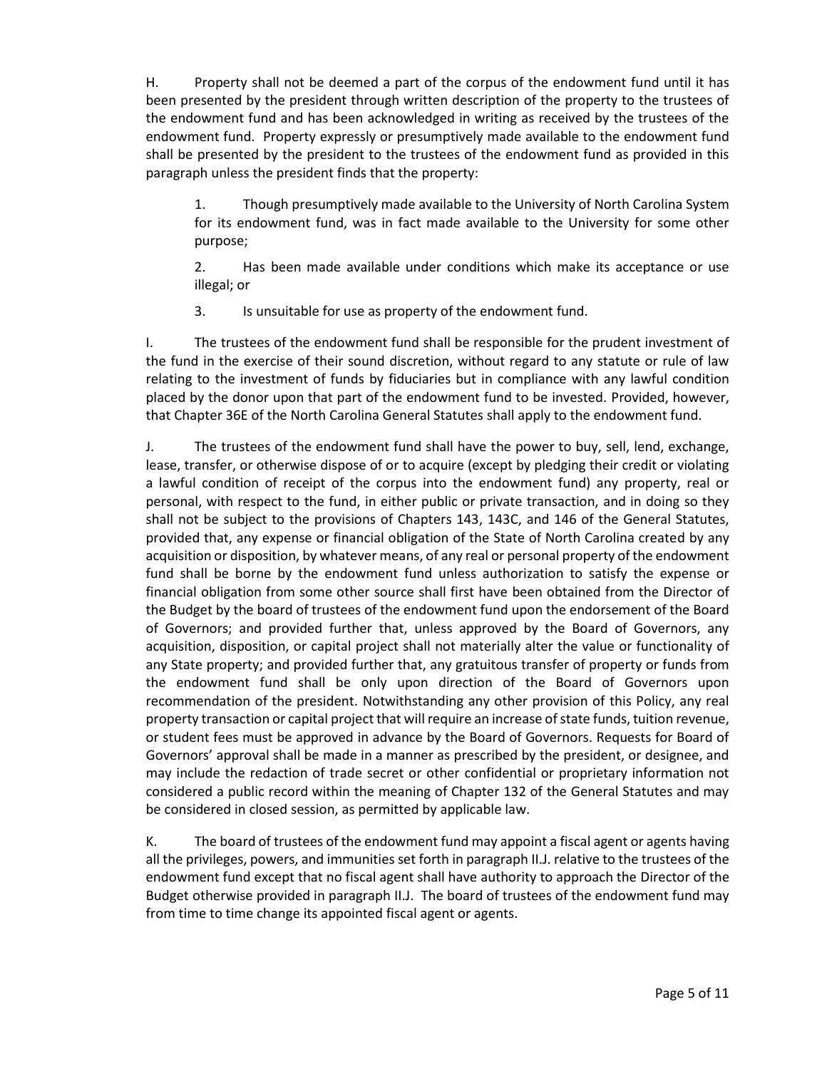H. Property shall not be deemed a part of the corpus of the endowment fund until it has been presented by the president through written description of the property to the trustees of the endowment fund and has been acknowledged in writing as received by the trustees of the endowment fund. Property expressly or presumptively made available to the endowment fund shall be presented by the president to the trustees of the endowment fund as provided in this paragraph unless the president finds that the property:

1. Though presumptively made available to the University of North Carolina System for its endowment fund, was in fact made available to the University for some other purpose;

2. Has been made available under conditions which make its acceptance or use illegal; or

3. Is unsuitable for use as property of the endowment fund.

I. The trustees of the endowment fund shall be responsible for the prudent investment of the fund in the exercise of their sound discretion, without regard to any statute or rule of law relating to the investment of funds by fiduciaries but in compliance with any lawful condition placed by the donor upon that part of the endowment fund to be invested. Provided, however, that Chapter 36E of the North Carolina General Statutes shall apply to the endowment fund.

J. The trustees of the endowment fund shall have the power to buy, sell, lend, exchange, lease, transfer, or otherwise dispose of or to acquire (except by pledging their credit or violating a lawful condition of receipt of the corpus into the endowment fund) any property, real or personal, with respect to the fund, in either public or private transaction, and in doing so they shall not be subject to the provisions of Chapters 143, 143C, and 146 of the General Statutes, provided that, any expense or financial obligation of the State of North Carolina created by any acquisition or disposition, by whatever means, of any real or personal property of the endowment fund shall be borne by the endowment fund unless authorization to satisfy the expense or financial obligation from some other source shall first have been obtained from the Director of the Budget by the board of trustees of the endowment fund upon the endorsement of the Board of Governors; and provided further that, unless approved by the Board of Governors, any acquisition, disposition, or capital project shall not materially alter the value or functionality of any State property; and provided further that, any gratuitous transfer of property or funds from the endowment fund shall be only upon direction of the Board of Governors upon recommendation of the president. Notwithstanding any other provision of this Policy, any real property transaction or capital project that will require an increase of state funds, tuition revenue, or student fees must be approved in advance by the Board of Governors. Requests for Board of Governors' approval shall be made in a manner as prescribed by the president, or designee, and may include the redaction of trade secret or other confidential or proprietary information not considered a public record within the meaning of Chapter 132 of the General Statutes and may be considered in closed session, as permitted by applicable law.

K. The board of trustees of the endowment fund may appoint a fiscal agent or agents having all the privileges, powers, and immunities set forth in paragraph II.J. relative to the trustees of the endowment fund except that no fiscal agent shall have authority to approach the Director of the Budget otherwise provided in paragraph II.J. The board of trustees of the endowment fund may from time to time change its appointed fiscal agent or agents.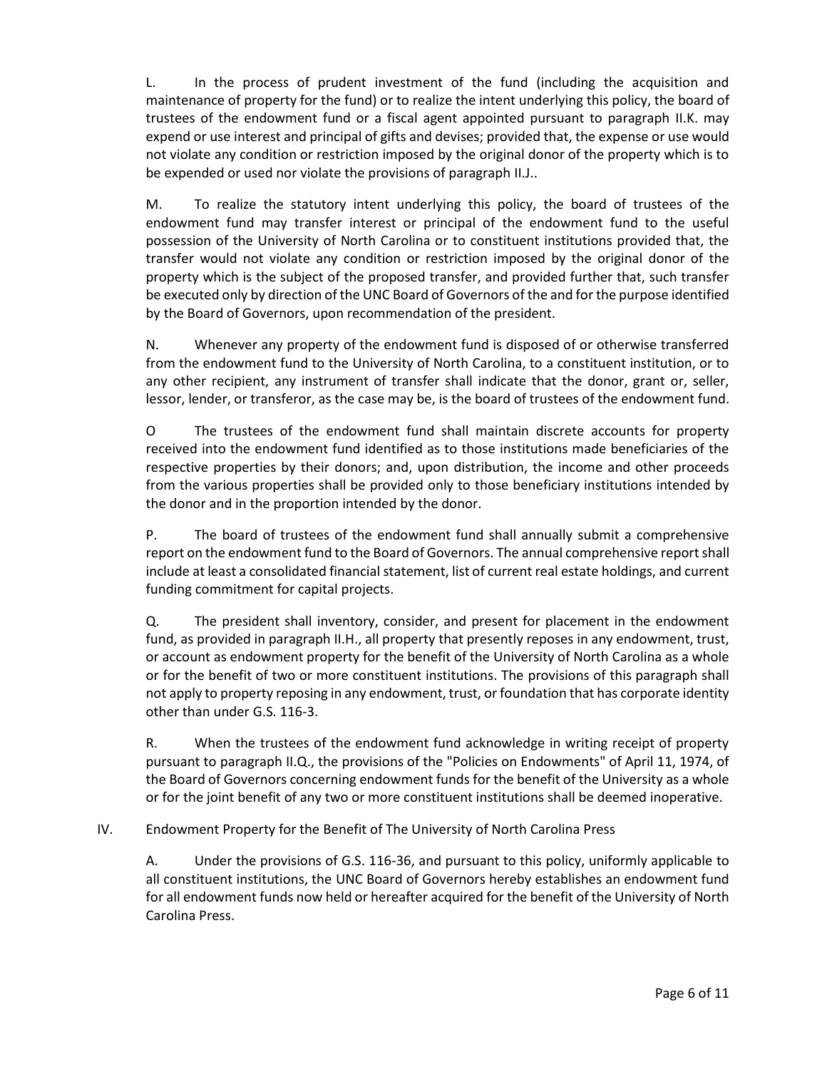L. In the process of prudent investment of the fund (including the acquisition and maintenance of property for the fund) or to realize the intent underlying this policy, the board of trustees of the endowment fund or a fiscal agent appointed pursuant to paragraph II.K. may expend or use interest and principal of gifts and devises; provided that, the expense or use would not violate any condition or restriction imposed by the original donor of the property which is to be expended or used nor violate the provisions of paragraph II.J..

M. To realize the statutory intent underlying this policy, the board of trustees of the endowment fund may transfer interest or principal of the endowment fund to the useful possession of the University of North Carolina or to constituent institutions provided that, the transfer would not violate any condition or restriction imposed by the original donor of the property which is the subject of the proposed transfer, and provided further that, such transfer be executed only by direction of the UNC Board of Governors of the and for the purpose identified by the Board of Governors, upon recommendation of the president.

N. Whenever any property of the endowment fund is disposed of or otherwise transferred from the endowment fund to the University of North Carolina, to a constituent institution, or to any other recipient, any instrument of transfer shall indicate that the donor, grant or, seller, lessor, lender, or transferor, as the case may be, is the board of trustees of the endowment fund.

O The trustees of the endowment fund shall maintain discrete accounts for property received into the endowment fund identified as to those institutions made beneficiaries of the respective properties by their donors; and, upon distribution, the income and other proceeds from the various properties shall be provided only to those beneficiary institutions intended by the donor and in the proportion intended by the donor.

P. The board of trustees of the endowment fund shall annually submit a comprehensive report on the endowment fund to the Board of Governors. The annual comprehensive report shall include at least a consolidated financial statement, list of current real estate holdings, and current funding commitment for capital projects.

Q. The president shall inventory, consider, and present for placement in the endowment fund, as provided in paragraph II.H., all property that presently reposes in any endowment, trust, or account as endowment property for the benefit of the University of North Carolina as a whole or for the benefit of two or more constituent institutions. The provisions of this paragraph shall not apply to property reposing in any endowment, trust, or foundation that has corporate identity other than under G.S. 116-3.

R. When the trustees of the endowment fund acknowledge in writing receipt of property pursuant to paragraph II.Q., the provisions of the "Policies on Endowments" of April 11, 1974, of the Board of Governors concerning endowment funds for the benefit of the University as a whole or for the joint benefit of any two or more constituent institutions shall be deemed inoperative.

IV. Endowment Property for the Benefit of The University of North Carolina Press

A. Under the provisions of G.S. 116-36, and pursuant to this policy, uniformly applicable to all constituent institutions, the UNC Board of Governors hereby establishes an endowment fund for all endowment funds now held or hereafter acquired for the benefit of the University of North Carolina Press.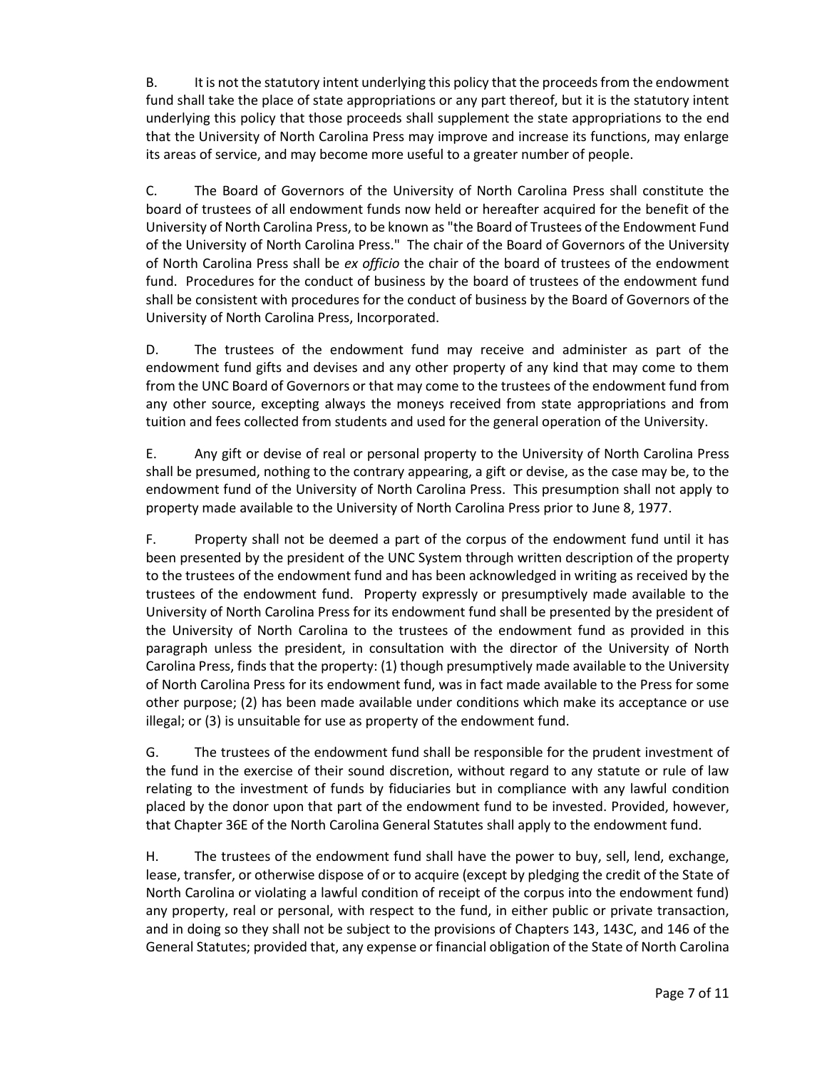B. It is not the statutory intent underlying this policy that the proceeds from the endowment fund shall take the place of state appropriations or any part thereof, but it is the statutory intent underlying this policy that those proceeds shall supplement the state appropriations to the end that the University of North Carolina Press may improve and increase its functions, may enlarge its areas of service, and may become more useful to a greater number of people.

C. The Board of Governors of the University of North Carolina Press shall constitute the board of trustees of all endowment funds now held or hereafter acquired for the benefit of the University of North Carolina Press, to be known as "the Board of Trustees of the Endowment Fund of the University of North Carolina Press." The chair of the Board of Governors of the University of North Carolina Press shall be *ex officio* the chair of the board of trustees of the endowment fund. Procedures for the conduct of business by the board of trustees of the endowment fund shall be consistent with procedures for the conduct of business by the Board of Governors of the University of North Carolina Press, Incorporated.

D. The trustees of the endowment fund may receive and administer as part of the endowment fund gifts and devises and any other property of any kind that may come to them from the UNC Board of Governors or that may come to the trustees of the endowment fund from any other source, excepting always the moneys received from state appropriations and from tuition and fees collected from students and used for the general operation of the University.

E. Any gift or devise of real or personal property to the University of North Carolina Press shall be presumed, nothing to the contrary appearing, a gift or devise, as the case may be, to the endowment fund of the University of North Carolina Press. This presumption shall not apply to property made available to the University of North Carolina Press prior to June 8, 1977.

F. Property shall not be deemed a part of the corpus of the endowment fund until it has been presented by the president of the UNC System through written description of the property to the trustees of the endowment fund and has been acknowledged in writing as received by the trustees of the endowment fund. Property expressly or presumptively made available to the University of North Carolina Press for its endowment fund shall be presented by the president of the University of North Carolina to the trustees of the endowment fund as provided in this paragraph unless the president, in consultation with the director of the University of North Carolina Press, finds that the property: (1) though presumptively made available to the University of North Carolina Press for its endowment fund, was in fact made available to the Press for some other purpose; (2) has been made available under conditions which make its acceptance or use illegal; or (3) is unsuitable for use as property of the endowment fund.

G. The trustees of the endowment fund shall be responsible for the prudent investment of the fund in the exercise of their sound discretion, without regard to any statute or rule of law relating to the investment of funds by fiduciaries but in compliance with any lawful condition placed by the donor upon that part of the endowment fund to be invested. Provided, however, that Chapter 36E of the North Carolina General Statutes shall apply to the endowment fund.

H. The trustees of the endowment fund shall have the power to buy, sell, lend, exchange, lease, transfer, or otherwise dispose of or to acquire (except by pledging the credit of the State of North Carolina or violating a lawful condition of receipt of the corpus into the endowment fund) any property, real or personal, with respect to the fund, in either public or private transaction, and in doing so they shall not be subject to the provisions of Chapters 143, 143C, and 146 of the General Statutes; provided that, any expense or financial obligation of the State of North Carolina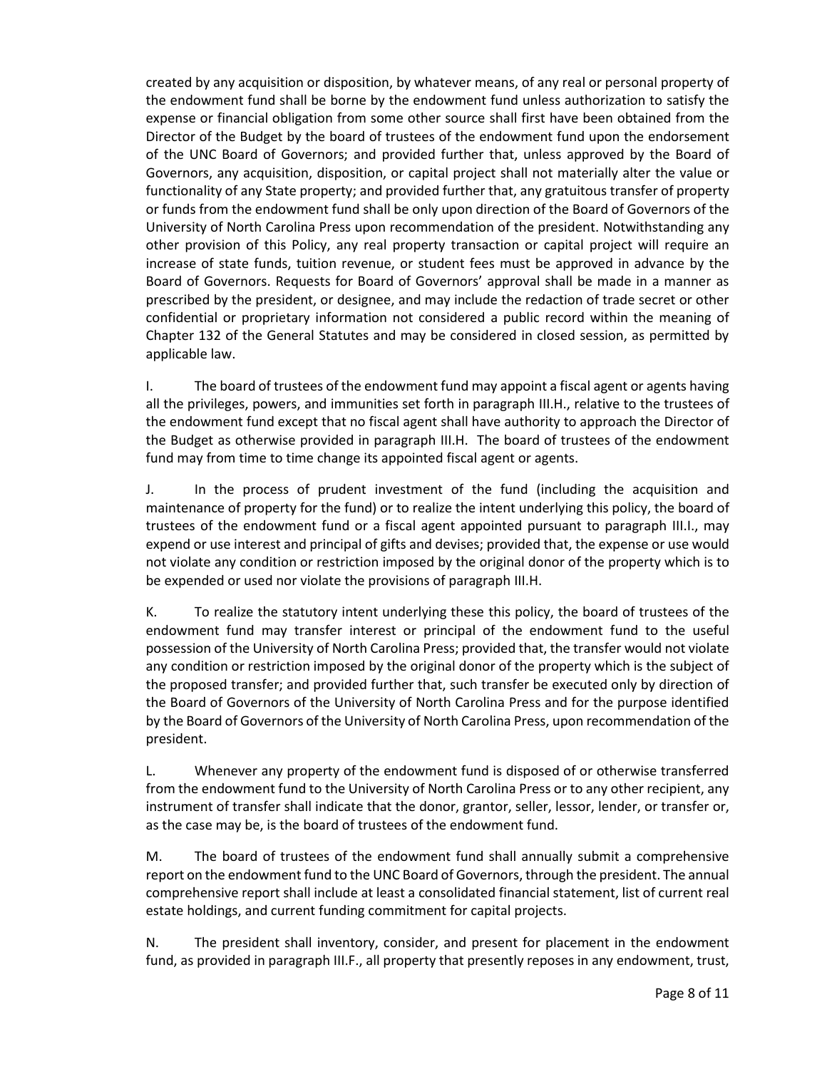created by any acquisition or disposition, by whatever means, of any real or personal property of the endowment fund shall be borne by the endowment fund unless authorization to satisfy the expense or financial obligation from some other source shall first have been obtained from the Director of the Budget by the board of trustees of the endowment fund upon the endorsement of the UNC Board of Governors; and provided further that, unless approved by the Board of Governors, any acquisition, disposition, or capital project shall not materially alter the value or functionality of any State property; and provided further that, any gratuitous transfer of property or funds from the endowment fund shall be only upon direction of the Board of Governors of the University of North Carolina Press upon recommendation of the president. Notwithstanding any other provision of this Policy, any real property transaction or capital project will require an increase of state funds, tuition revenue, or student fees must be approved in advance by the Board of Governors. Requests for Board of Governors' approval shall be made in a manner as prescribed by the president, or designee, and may include the redaction of trade secret or other confidential or proprietary information not considered a public record within the meaning of Chapter 132 of the General Statutes and may be considered in closed session, as permitted by applicable law.

I. The board of trustees of the endowment fund may appoint a fiscal agent or agents having all the privileges, powers, and immunities set forth in paragraph III.H., relative to the trustees of the endowment fund except that no fiscal agent shall have authority to approach the Director of the Budget as otherwise provided in paragraph III.H. The board of trustees of the endowment fund may from time to time change its appointed fiscal agent or agents.

J. In the process of prudent investment of the fund (including the acquisition and maintenance of property for the fund) or to realize the intent underlying this policy, the board of trustees of the endowment fund or a fiscal agent appointed pursuant to paragraph III.I., may expend or use interest and principal of gifts and devises; provided that, the expense or use would not violate any condition or restriction imposed by the original donor of the property which is to be expended or used nor violate the provisions of paragraph III.H.

K. To realize the statutory intent underlying these this policy, the board of trustees of the endowment fund may transfer interest or principal of the endowment fund to the useful possession of the University of North Carolina Press; provided that, the transfer would not violate any condition or restriction imposed by the original donor of the property which is the subject of the proposed transfer; and provided further that, such transfer be executed only by direction of the Board of Governors of the University of North Carolina Press and for the purpose identified by the Board of Governors of the University of North Carolina Press, upon recommendation of the president.

L. Whenever any property of the endowment fund is disposed of or otherwise transferred from the endowment fund to the University of North Carolina Press or to any other recipient, any instrument of transfer shall indicate that the donor, grantor, seller, lessor, lender, or transfer or, as the case may be, is the board of trustees of the endowment fund.

M. The board of trustees of the endowment fund shall annually submit a comprehensive report on the endowment fund to the UNC Board of Governors, through the president. The annual comprehensive report shall include at least a consolidated financial statement, list of current real estate holdings, and current funding commitment for capital projects.

N. The president shall inventory, consider, and present for placement in the endowment fund, as provided in paragraph III.F., all property that presently reposes in any endowment, trust,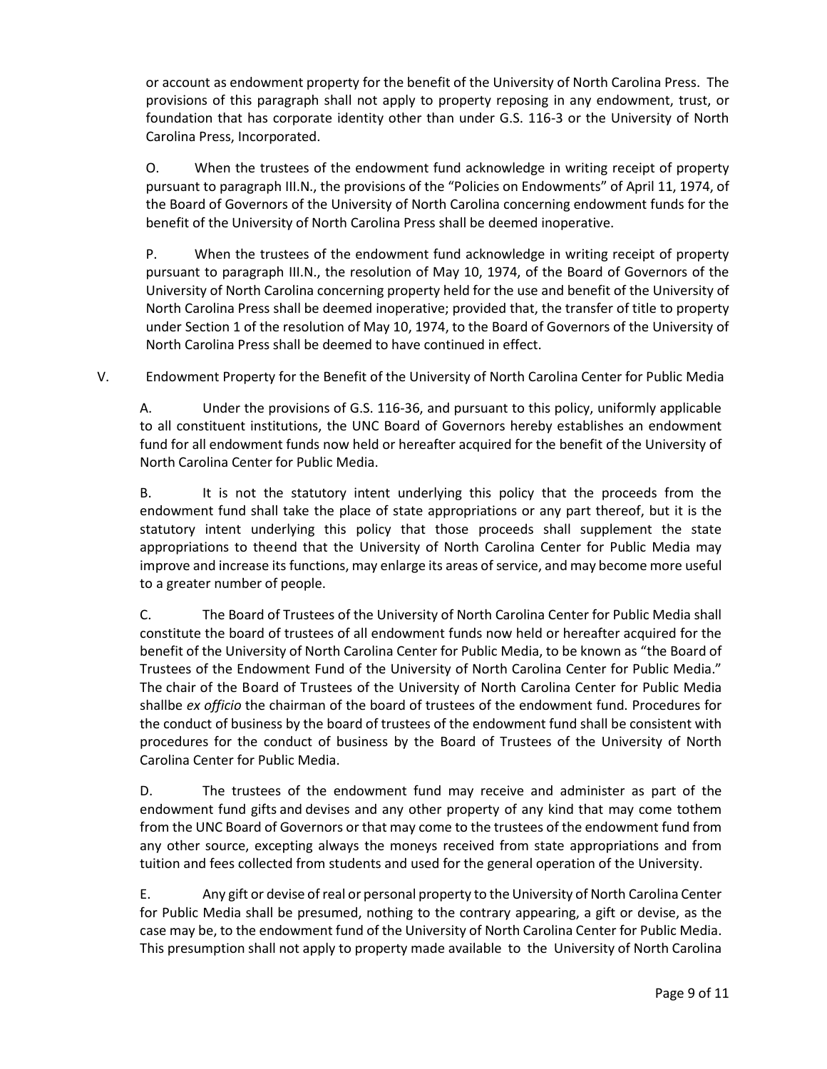or account as endowment property for the benefit of the University of North Carolina Press. The provisions of this paragraph shall not apply to property reposing in any endowment, trust, or foundation that has corporate identity other than under G.S. 116-3 or the University of North Carolina Press, Incorporated.

O. When the trustees of the endowment fund acknowledge in writing receipt of property pursuant to paragraph III.N., the provisions of the "Policies on Endowments" of April 11, 1974, of the Board of Governors of the University of North Carolina concerning endowment funds for the benefit of the University of North Carolina Press shall be deemed inoperative.

P. When the trustees of the endowment fund acknowledge in writing receipt of property pursuant to paragraph III.N., the resolution of May 10, 1974, of the Board of Governors of the University of North Carolina concerning property held for the use and benefit of the University of North Carolina Press shall be deemed inoperative; provided that, the transfer of title to property under Section 1 of the resolution of May 10, 1974, to the Board of Governors of the University of North Carolina Press shall be deemed to have continued in effect.

V. Endowment Property for the Benefit of the University of North Carolina Center for Public Media

A. Under the provisions of G.S. 116-36, and pursuant to this policy, uniformly applicable to all constituent institutions, the UNC Board of Governors hereby establishes an endowment fund for all endowment funds now held or hereafter acquired for the benefit of the University of North Carolina Center for Public Media.

B. It is not the statutory intent underlying this policy that the proceeds from the endowment fund shall take the place of state appropriations or any part thereof, but it is the statutory intent underlying this policy that those proceeds shall supplement the state appropriations to theend that the University of North Carolina Center for Public Media may improve and increase its functions, may enlarge its areas of service, and may become more useful to a greater number of people.

C. The Board of Trustees of the University of North Carolina Center for Public Media shall constitute the board of trustees of all endowment funds now held or hereafter acquired for the benefit of the University of North Carolina Center for Public Media, to be known as "the Board of Trustees of the Endowment Fund of the University of North Carolina Center for Public Media." The chair of the Board of Trustees of the University of North Carolina Center for Public Media shallbe *ex officio* the chairman of the board of trustees of the endowment fund. Procedures for the conduct of business by the board of trustees of the endowment fund shall be consistent with procedures for the conduct of business by the Board of Trustees of the University of North Carolina Center for Public Media.

D. The trustees of the endowment fund may receive and administer as part of the endowment fund gifts and devises and any other property of any kind that may come tothem from the UNC Board of Governors or that may come to the trustees of the endowment fund from any other source, excepting always the moneys received from state appropriations and from tuition and fees collected from students and used for the general operation of the University.

E. Any gift or devise of real or personal property to the University of North Carolina Center for Public Media shall be presumed, nothing to the contrary appearing, a gift or devise, as the case may be, to the endowment fund of the University of North Carolina Center for Public Media. This presumption shall not apply to property made available to the University of North Carolina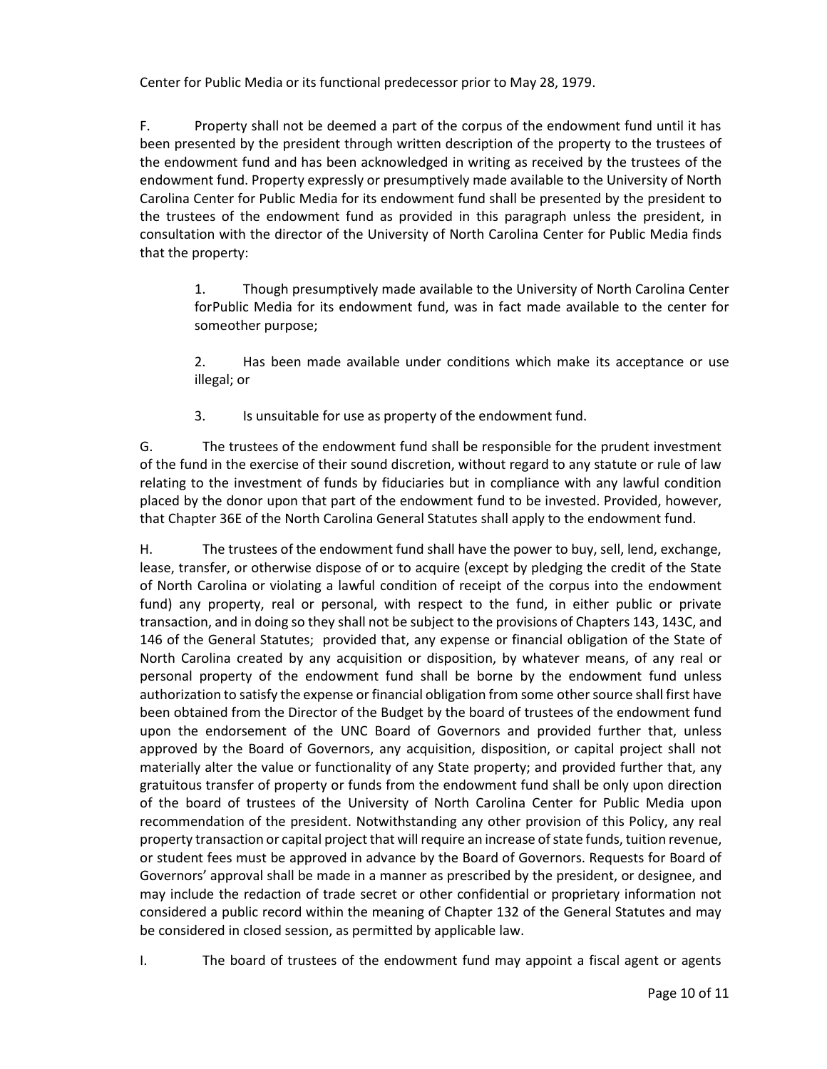Center for Public Media or its functional predecessor prior to May 28, 1979.

F. Property shall not be deemed a part of the corpus of the endowment fund until it has been presented by the president through written description of the property to the trustees of the endowment fund and has been acknowledged in writing as received by the trustees of the endowment fund. Property expressly or presumptively made available to the University of North Carolina Center for Public Media for its endowment fund shall be presented by the president to the trustees of the endowment fund as provided in this paragraph unless the president, in consultation with the director of the University of North Carolina Center for Public Media finds that the property:

1. Though presumptively made available to the University of North Carolina Center forPublic Media for its endowment fund, was in fact made available to the center for someother purpose;

2. Has been made available under conditions which make its acceptance or use illegal; or

3. Is unsuitable for use as property of the endowment fund.

G. The trustees of the endowment fund shall be responsible for the prudent investment of the fund in the exercise of their sound discretion, without regard to any statute or rule of law relating to the investment of funds by fiduciaries but in compliance with any lawful condition placed by the donor upon that part of the endowment fund to be invested. Provided, however, that Chapter 36E of the North Carolina General Statutes shall apply to the endowment fund.

H. The trustees of the endowment fund shall have the power to buy, sell, lend, exchange, lease, transfer, or otherwise dispose of or to acquire (except by pledging the credit of the State of North Carolina or violating a lawful condition of receipt of the corpus into the endowment fund) any property, real or personal, with respect to the fund, in either public or private transaction, and in doing so they shall not be subject to the provisions of Chapters 143, 143C, and 146 of the General Statutes; provided that, any expense or financial obligation of the State of North Carolina created by any acquisition or disposition, by whatever means, of any real or personal property of the endowment fund shall be borne by the endowment fund unless authorization to satisfy the expense or financial obligation from some other source shall first have been obtained from the Director of the Budget by the board of trustees of the endowment fund upon the endorsement of the UNC Board of Governors and provided further that, unless approved by the Board of Governors, any acquisition, disposition, or capital project shall not materially alter the value or functionality of any State property; and provided further that, any gratuitous transfer of property or funds from the endowment fund shall be only upon direction of the board of trustees of the University of North Carolina Center for Public Media upon recommendation of the president. Notwithstanding any other provision of this Policy, any real property transaction or capital project that will require an increase of state funds, tuition revenue, or student fees must be approved in advance by the Board of Governors. Requests for Board of Governors' approval shall be made in a manner as prescribed by the president, or designee, and may include the redaction of trade secret or other confidential or proprietary information not considered a public record within the meaning of Chapter 132 of the General Statutes and may be considered in closed session, as permitted by applicable law.

I. The board of trustees of the endowment fund may appoint a fiscal agent or agents